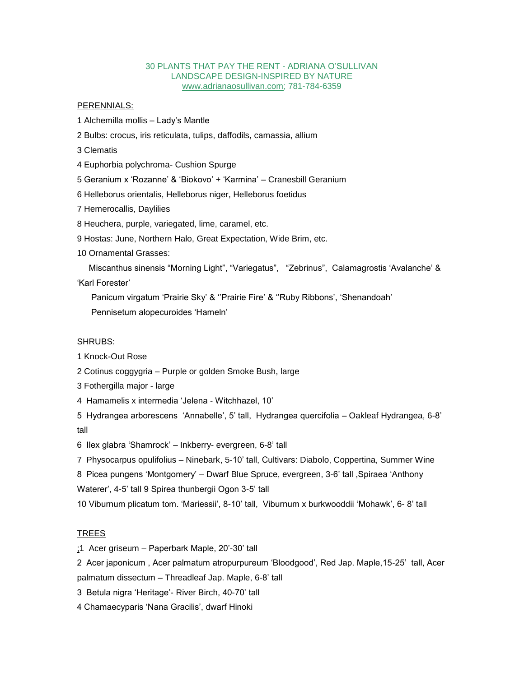## 30 PLANTS THAT PAY THE RENT - ADRIANA O'SULLIVAN LANDSCAPE DESIGN-INSPIRED BY NATURE [www.adrianaosullivan.com;](http://www.adrianaosullivan.com/) 781-784-6359

## PERENNIALS:

1 Alchemilla mollis – Lady's Mantle

2 Bulbs: crocus, iris reticulata, tulips, daffodils, camassia, allium

3 Clematis

4 Euphorbia polychroma- Cushion Spurge

5 Geranium x 'Rozanne' & 'Biokovo' + 'Karmina' – Cranesbill Geranium

6 Helleborus orientalis, Helleborus niger, Helleborus foetidus

7 Hemerocallis, Daylilies

8 Heuchera, purple, variegated, lime, caramel, etc.

9 Hostas: June, Northern Halo, Great Expectation, Wide Brim, etc.

10 Ornamental Grasses:

 Miscanthus sinensis "Morning Light", "Variegatus", "Zebrinus", Calamagrostis 'Avalanche' & 'Karl Forester'

 Panicum virgatum 'Prairie Sky' & ''Prairie Fire' & ''Ruby Ribbons', 'Shenandoah' Pennisetum alopecuroides 'Hameln'

## SHRUBS:

1 Knock-Out Rose

2 Cotinus coggygria – Purple or golden Smoke Bush, large

3 Fothergilla major - large

4 Hamamelis x intermedia 'Jelena - Witchhazel, 10'

5 Hydrangea arborescens 'Annabelle', 5' tall, Hydrangea quercifolia – Oakleaf Hydrangea, 6-8' tall

6 Ilex glabra 'Shamrock' – Inkberry- evergreen, 6-8' tall

7 Physocarpus opulifolius – Ninebark, 5-10' tall, Cultivars: Diabolo, Coppertina, Summer Wine

8 Picea pungens 'Montgomery' – Dwarf Blue Spruce, evergreen, 3-6' tall ,Spiraea 'Anthony Waterer', 4-5' tall 9 Spirea thunbergii Ogon 3-5' tall

10 Viburnum plicatum tom. 'Mariessii', 8-10' tall, Viburnum x burkwooddii 'Mohawk', 6- 8' tall

## TREES

;1 Acer griseum – Paperbark Maple, 20'-30' tall

2 Acer japonicum , Acer palmatum atropurpureum 'Bloodgood', Red Jap. Maple,15-25' tall, Acer palmatum dissectum – Threadleaf Jap. Maple, 6-8' tall

3 Betula nigra 'Heritage'- River Birch, 40-70' tall

4 Chamaecyparis 'Nana Gracilis', dwarf Hinoki